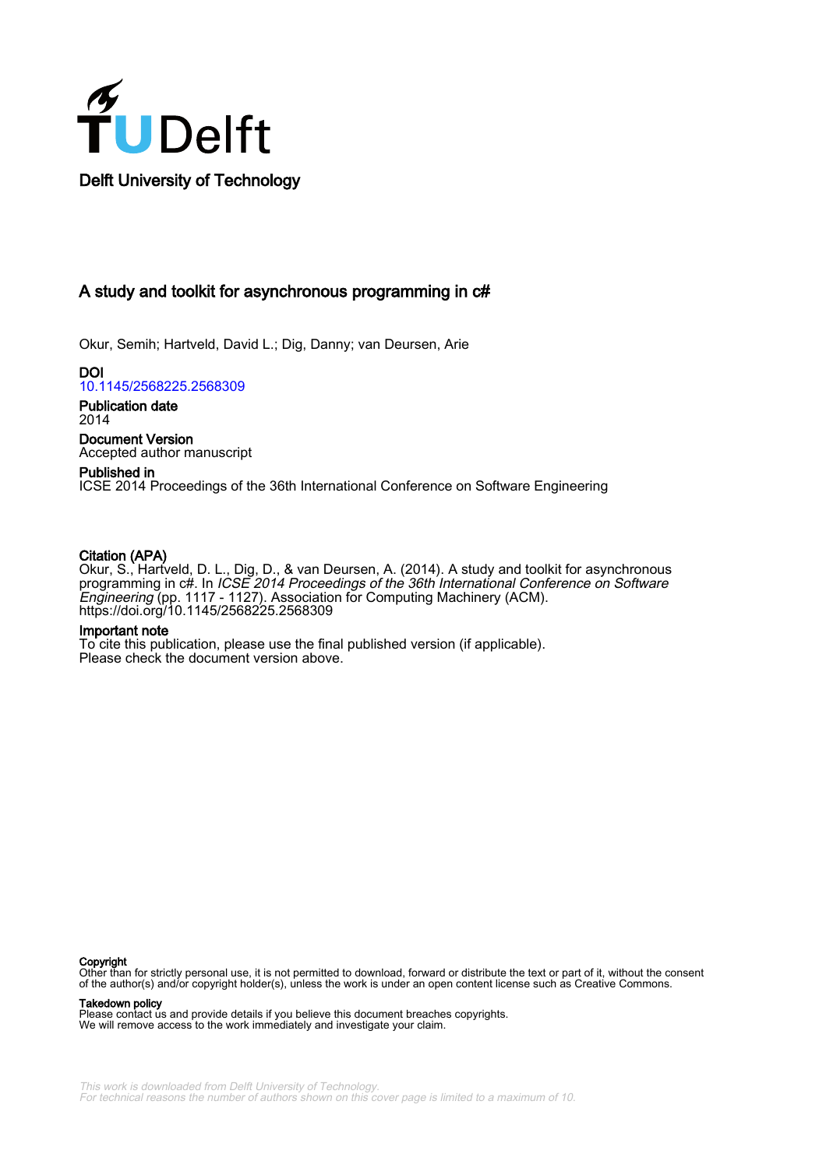

# A study and toolkit for asynchronous programming in c#

Okur, Semih; Hartveld, David L.; Dig, Danny; van Deursen, Arie

DOI [10.1145/2568225.2568309](https://doi.org/10.1145/2568225.2568309)

Publication date 2014

Document Version Accepted author manuscript

# Published in ICSE 2014 Proceedings of the 36th International Conference on Software Engineering

# Citation (APA)

Okur, S., Hartveld, D. L., Dig, D., & van Deursen, A. (2014). A study and toolkit for asynchronous programming in c#. In ICSE 2014 Proceedings of the 36th International Conference on Software Engineering (pp. 1117 - 1127). Association for Computing Machinery (ACM). <https://doi.org/10.1145/2568225.2568309>

# Important note

To cite this publication, please use the final published version (if applicable). Please check the document version above.

#### **Copyright**

Other than for strictly personal use, it is not permitted to download, forward or distribute the text or part of it, without the consent of the author(s) and/or copyright holder(s), unless the work is under an open content license such as Creative Commons.

#### Takedown policy

Please contact us and provide details if you believe this document breaches copyrights. We will remove access to the work immediately and investigate your claim.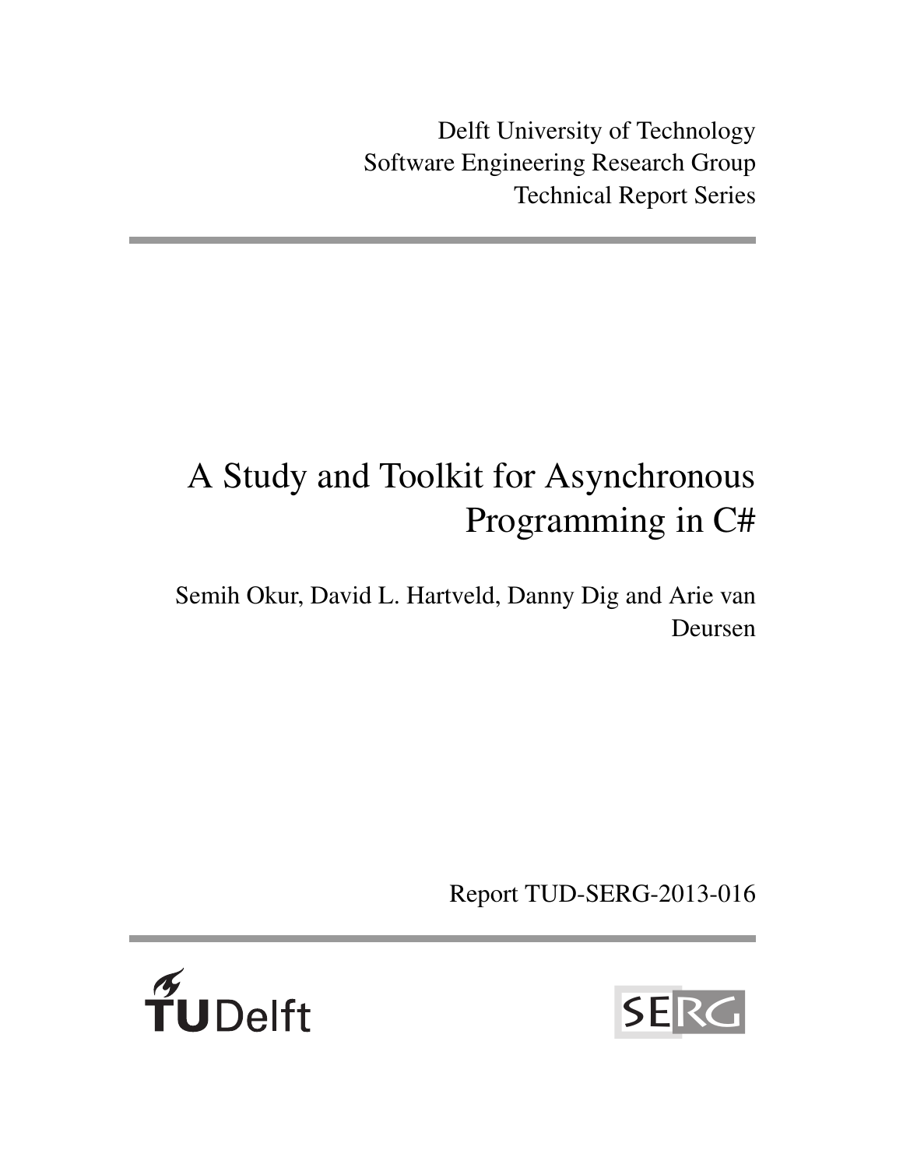Delft University of Technology Software Engineering Research Group Technical Report Series

# A Study and Toolkit for Asynchronous Programming in C#

Semih Okur, David L. Hartveld, Danny Dig and Arie van Deursen

Report TUD-SERG-2013-016



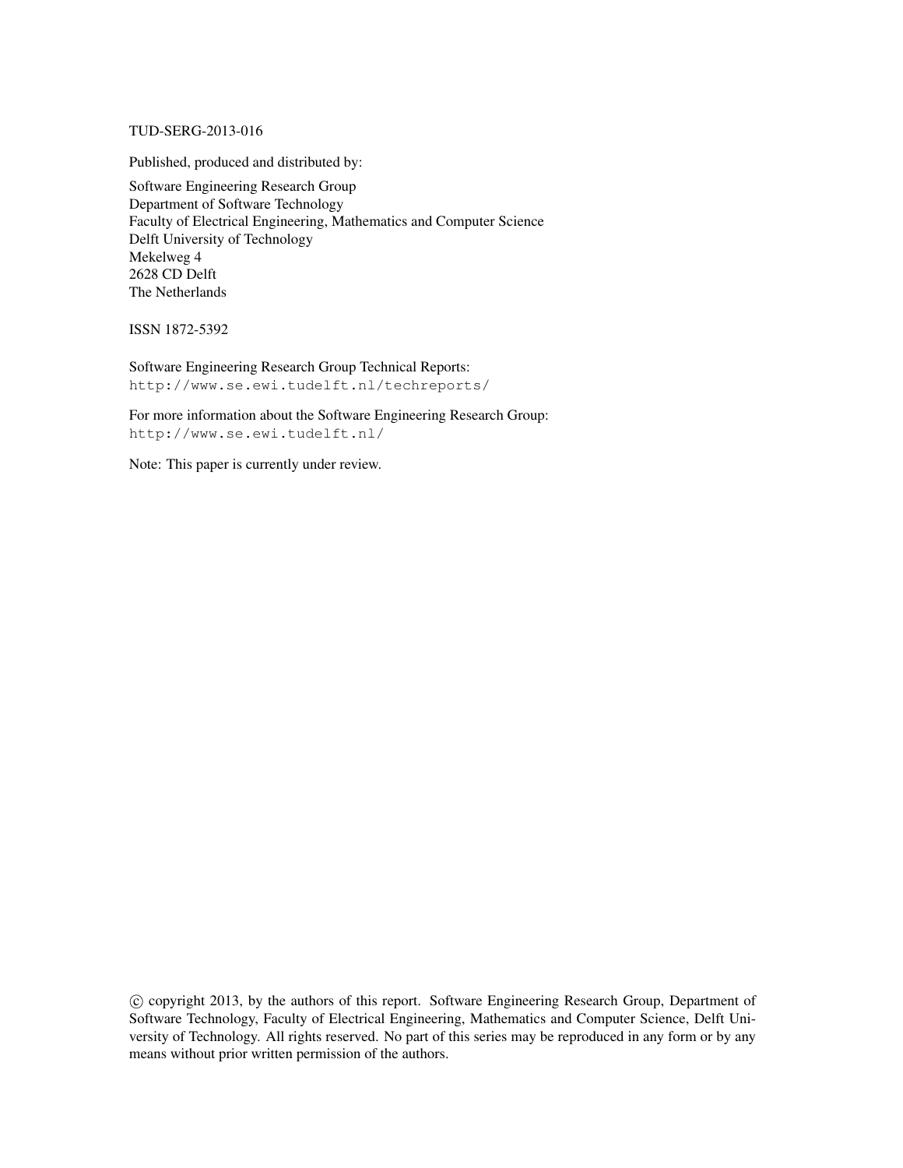# TUD-SERG-2013-016

Published, produced and distributed by:

Software Engineering Research Group Department of Software Technology Faculty of Electrical Engineering, Mathematics and Computer Science Delft University of Technology Mekelweg 4 2628 CD Delft The Netherlands

ISSN 1872-5392

Software Engineering Research Group Technical Reports: http://www.se.ewi.tudelft.nl/techreports/

For more information about the Software Engineering Research Group: http://www.se.ewi.tudelft.nl/

Note: This paper is currently under review.

 c copyright 2013, by the authors of this report. Software Engineering Research Group, Department of Software Technology, Faculty of Electrical Engineering, Mathematics and Computer Science, Delft University of Technology. All rights reserved. No part of this series may be reproduced in any form or by any means without prior written permission of the authors.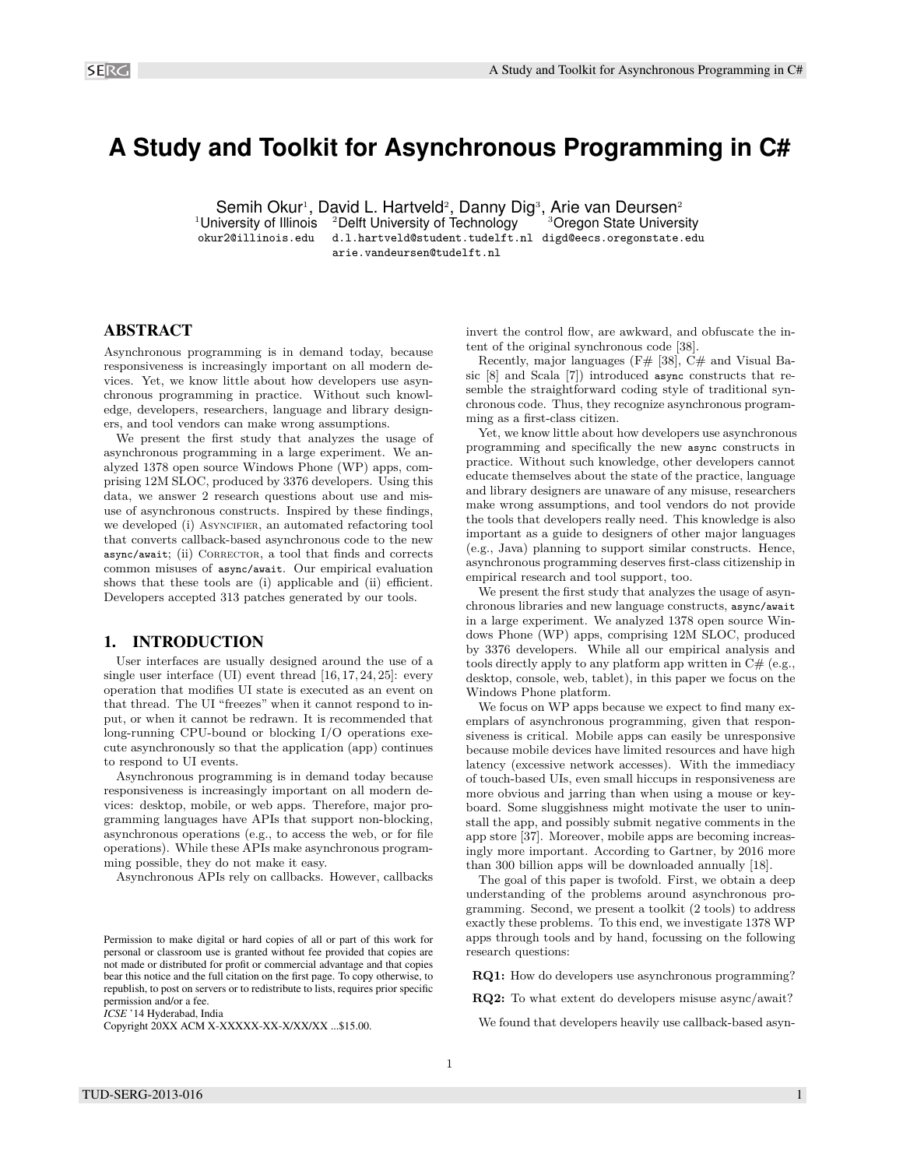# **A Study and Toolkit for Asynchronous Programming in C#**

Semih Okur<sup>1</sup>, David L. Hartveld<sup>2</sup>, Danny Dig<sup>3</sup>, Arie van Deursen<sup>2</sup>

<sup>1</sup>University of Illinois  $2D$ elft University of Technology  $3D$   $3D$ regon State University okur2@illinois.edu d.l.hartveld@student.tudelft.nl digd@eecs.oregonstate.edu arie.vandeursen@tudelft.nl

# ABSTRACT

Asynchronous programming is in demand today, because responsiveness is increasingly important on all modern devices. Yet, we know little about how developers use asynchronous programming in practice. Without such knowledge, developers, researchers, language and library designers, and tool vendors can make wrong assumptions.

We present the first study that analyzes the usage of asynchronous programming in a large experiment. We analyzed 1378 open source Windows Phone (WP) apps, comprising 12M SLOC, produced by 3376 developers. Using this data, we answer 2 research questions about use and misuse of asynchronous constructs. Inspired by these findings, we developed (i) ASYNCIFIER, an automated refactoring tool that converts callback-based asynchronous code to the new async/await; (ii) CORRECTOR, a tool that finds and corrects common misuses of async/await. Our empirical evaluation shows that these tools are (i) applicable and (ii) efficient. Developers accepted 313 patches generated by our tools.

# 1. INTRODUCTION

User interfaces are usually designed around the use of a single user interface (UI) event thread  $[16, 17, 24, 25]$ : every operation that modifies UI state is executed as an event on that thread. The UI "freezes" when it cannot respond to input, or when it cannot be redrawn. It is recommended that long-running CPU-bound or blocking I/O operations execute asynchronously so that the application (app) continues to respond to UI events.

Asynchronous programming is in demand today because responsiveness is increasingly important on all modern devices: desktop, mobile, or web apps. Therefore, major programming languages have APIs that support non-blocking, asynchronous operations (e.g., to access the web, or for file operations). While these APIs make asynchronous programming possible, they do not make it easy.

Asynchronous APIs rely on callbacks. However, callbacks

*ICSE* '14 Hyderabad, India

Copyright 20XX ACM X-XXXXX-XX-X/XX/XX ...\$15.00.

invert the control flow, are awkward, and obfuscate the intent of the original synchronous code [38].

Recently, major languages ( $F#$  [38],  $C#$  and Visual Basic [8] and Scala [7]) introduced async constructs that resemble the straightforward coding style of traditional synchronous code. Thus, they recognize asynchronous programming as a first-class citizen.

Yet, we know little about how developers use asynchronous programming and specifically the new async constructs in practice. Without such knowledge, other developers cannot educate themselves about the state of the practice, language and library designers are unaware of any misuse, researchers make wrong assumptions, and tool vendors do not provide the tools that developers really need. This knowledge is also important as a guide to designers of other major languages (e.g., Java) planning to support similar constructs. Hence, asynchronous programming deserves first-class citizenship in empirical research and tool support, too.

We present the first study that analyzes the usage of asynchronous libraries and new language constructs, async/await in a large experiment. We analyzed 1378 open source Windows Phone (WP) apps, comprising 12M SLOC, produced by 3376 developers. While all our empirical analysis and tools directly apply to any platform app written in  $C#$  (e.g., desktop, console, web, tablet), in this paper we focus on the Windows Phone platform.

We focus on WP apps because we expect to find many exemplars of asynchronous programming, given that responsiveness is critical. Mobile apps can easily be unresponsive because mobile devices have limited resources and have high latency (excessive network accesses). With the immediacy of touch-based UIs, even small hiccups in responsiveness are more obvious and jarring than when using a mouse or keyboard. Some sluggishness might motivate the user to uninstall the app, and possibly submit negative comments in the app store [37]. Moreover, mobile apps are becoming increasingly more important. According to Gartner, by 2016 more than 300 billion apps will be downloaded annually [18].

The goal of this paper is twofold. First, we obtain a deep understanding of the problems around asynchronous programming. Second, we present a toolkit (2 tools) to address exactly these problems. To this end, we investigate 1378 WP apps through tools and by hand, focussing on the following research questions:

**RQ1:** How do developers use asynchronous programming?

**RQ2:** To what extent do developers misuse async/await?

We found that developers heavily use callback-based asyn-

Permission to make digital or hard copies of all or part of this work for personal or classroom use is granted without fee provided that copies are not made or distributed for profit or commercial advantage and that copies bear this notice and the full citation on the first page. To copy otherwise, to republish, to post on servers or to redistribute to lists, requires prior specific permission and/or a fee.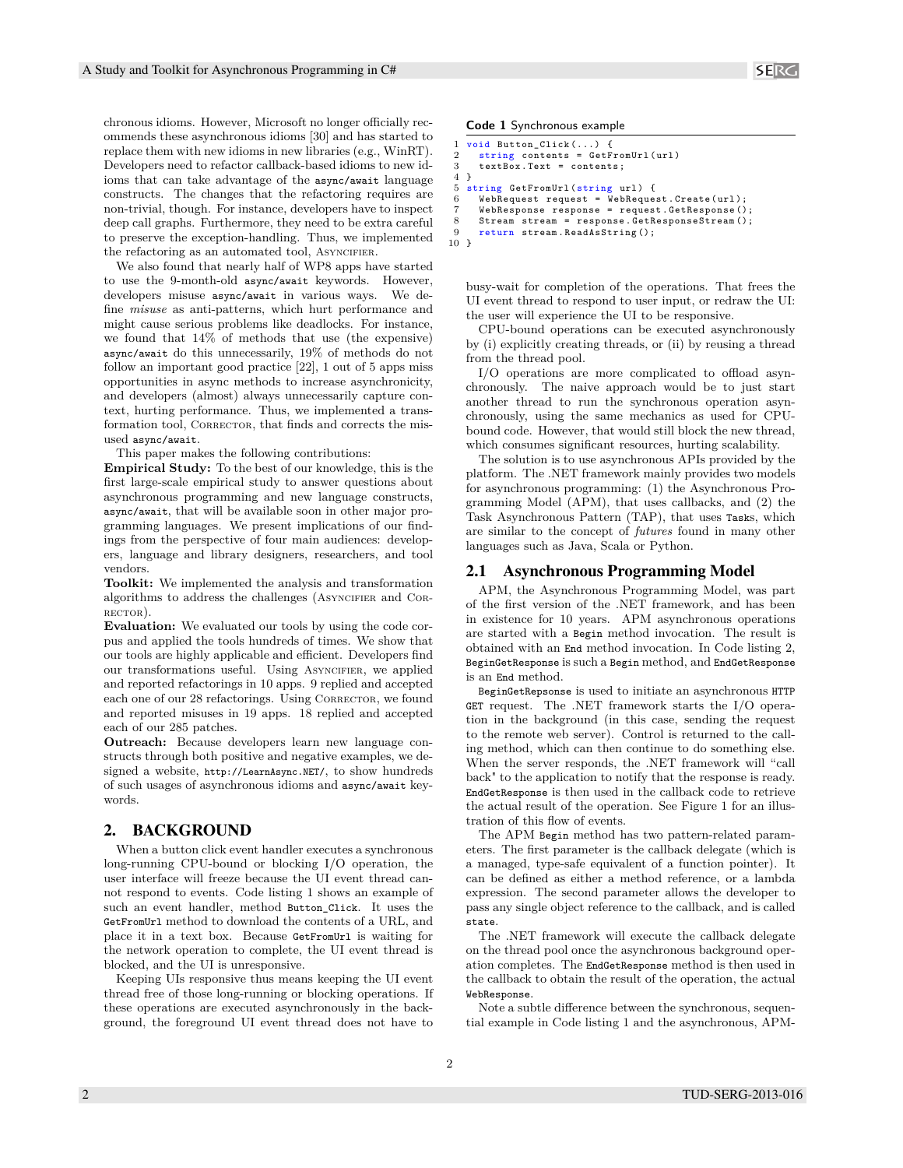chronous idioms. However, Microsoft no longer officially recommends these asynchronous idioms [30] and has started to replace them with new idioms in new libraries (e.g., WinRT). Developers need to refactor callback-based idioms to new idioms that can take advantage of the async/await language constructs. The changes that the refactoring requires are non-trivial, though. For instance, developers have to inspect deep call graphs. Furthermore, they need to be extra careful to preserve the exception-handling. Thus, we implemented the refactoring as an automated tool, ASYNCIFIER.

We also found that nearly half of WP8 apps have started to use the 9-month-old async/await keywords. However, developers misuse async/await in various ways. We define *misuse* as anti-patterns, which hurt performance and might cause serious problems like deadlocks. For instance, we found that 14% of methods that use (the expensive) async/await do this unnecessarily, 19% of methods do not follow an important good practice [22], 1 out of 5 apps miss opportunities in async methods to increase asynchronicity, and developers (almost) always unnecessarily capture context, hurting performance. Thus, we implemented a transformation tool, CORRECTOR, that finds and corrects the misused async/await.

This paper makes the following contributions:

**Empirical Study:** To the best of our knowledge, this is the first large-scale empirical study to answer questions about asynchronous programming and new language constructs, async/await, that will be available soon in other major programming languages. We present implications of our findings from the perspective of four main audiences: developers, language and library designers, researchers, and tool vendors.

**Toolkit:** We implemented the analysis and transformation algorithms to address the challenges (ASYNCIFIER and CORrector).

**Evaluation:** We evaluated our tools by using the code corpus and applied the tools hundreds of times. We show that our tools are highly applicable and efficient. Developers find our transformations useful. Using ASYNCIFIER, we applied and reported refactorings in 10 apps. 9 replied and accepted each one of our 28 refactorings. Using CORRECTOR, we found and reported misuses in 19 apps. 18 replied and accepted each of our 285 patches.

**Outreach:** Because developers learn new language constructs through both positive and negative examples, we designed a website, http://LearnAsync.NET/, to show hundreds of such usages of asynchronous idioms and async/await keywords.

# 2. BACKGROUND

When a button click event handler executes a synchronous long-running CPU-bound or blocking I/O operation, the user interface will freeze because the UI event thread cannot respond to events. Code listing 1 shows an example of such an event handler, method Button\_Click. It uses the GetFromUrl method to download the contents of a URL, and place it in a text box. Because GetFromUrl is waiting for the network operation to complete, the UI event thread is blocked, and the UI is unresponsive.

Keeping UIs responsive thus means keeping the UI event thread free of those long-running or blocking operations. If these operations are executed asynchronously in the background, the foreground UI event thread does not have to **Code 1** Synchronous example

```
1 void Button_Click (...) {<br>2 string contents = GetF
 2 string contents = GetFromUr1 (url)<br>3 textBox.Text = contents:
       text{text} = contents;
 4 }
 5 string GetFromUrl (string url) {<br>6 WebRequest request = WebReque
       WebRequest request = WebRequest. Create (url);
       7 WebResponse response = request . GetResponse ();
 8 Stream stream = response.GetResponseStream ();<br>9 return stream.ReadAsString():
       return stream. ReadAsString ();
10 }
```
busy-wait for completion of the operations. That frees the UI event thread to respond to user input, or redraw the UI: the user will experience the UI to be responsive.

CPU-bound operations can be executed asynchronously by (i) explicitly creating threads, or (ii) by reusing a thread from the thread pool.

I/O operations are more complicated to offload asynchronously. The naive approach would be to just start another thread to run the synchronous operation asynchronously, using the same mechanics as used for CPUbound code. However, that would still block the new thread, which consumes significant resources, hurting scalability.

The solution is to use asynchronous APIs provided by the platform. The .NET framework mainly provides two models for asynchronous programming: (1) the Asynchronous Programming Model (APM), that uses callbacks, and (2) the Task Asynchronous Pattern (TAP), that uses Tasks, which are similar to the concept of *futures* found in many other languages such as Java, Scala or Python.

# 2.1 Asynchronous Programming Model

APM, the Asynchronous Programming Model, was part of the first version of the .NET framework, and has been in existence for 10 years. APM asynchronous operations are started with a Begin method invocation. The result is obtained with an End method invocation. In Code listing 2, BeginGetResponse is such a Begin method, and EndGetResponse is an End method.

BeginGetRepsonse is used to initiate an asynchronous HTTP GET request. The .NET framework starts the I/O operation in the background (in this case, sending the request to the remote web server). Control is returned to the calling method, which can then continue to do something else. When the server responds, the .NET framework will "call back" to the application to notify that the response is ready. EndGetResponse is then used in the callback code to retrieve the actual result of the operation. See Figure 1 for an illustration of this flow of events.

The APM Begin method has two pattern-related parameters. The first parameter is the callback delegate (which is a managed, type-safe equivalent of a function pointer). It can be defined as either a method reference, or a lambda expression. The second parameter allows the developer to pass any single object reference to the callback, and is called state.

The .NET framework will execute the callback delegate on the thread pool once the asynchronous background operation completes. The EndGetResponse method is then used in the callback to obtain the result of the operation, the actual WebResponse.

Note a subtle difference between the synchronous, sequential example in Code listing 1 and the asynchronous, APM-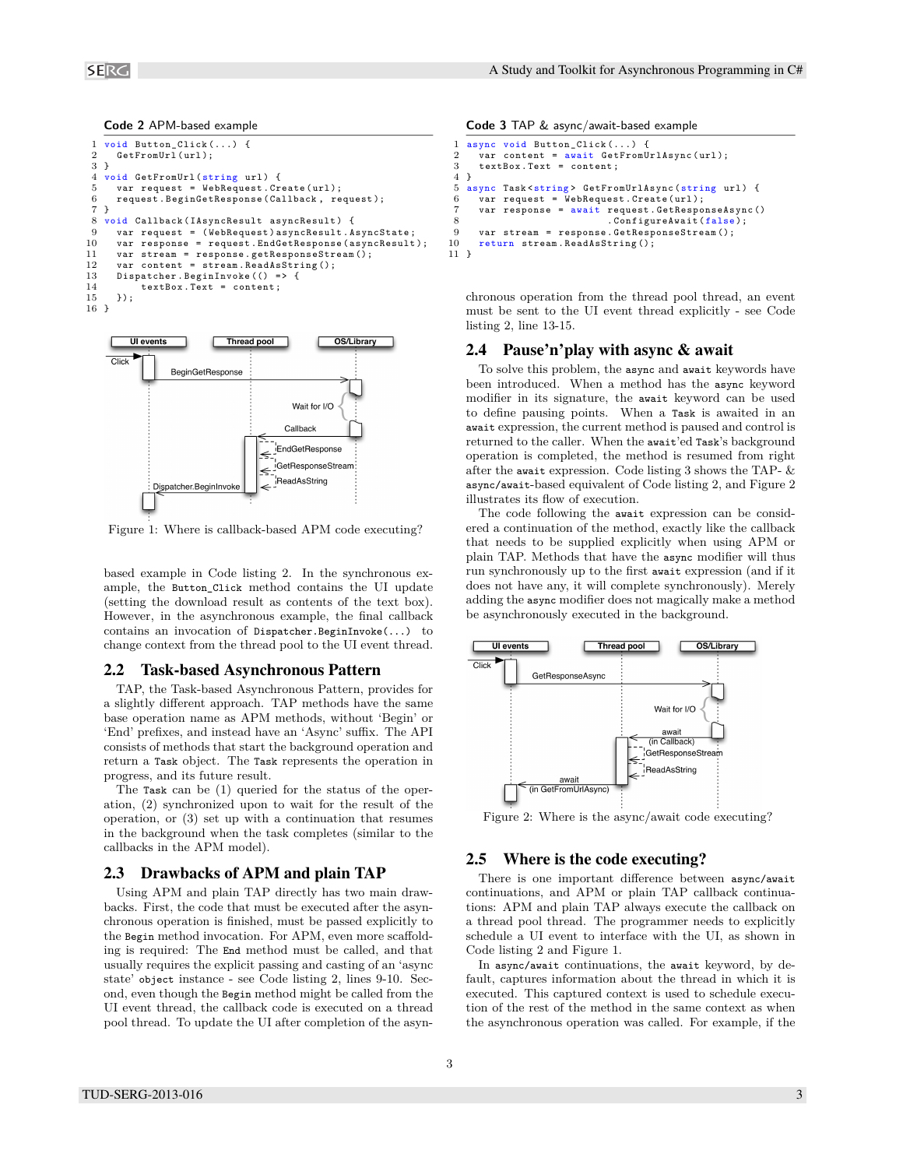```
1 void Button_Click (...)<br>2 GetFromUrl (url);GetFromUrl (url);
 3 }
 4 void GetFromUrl (string url) {<br>5 var request = WebRequest.Cr
 5 var request = WebRequest. Create (url);<br>6 request. BeginGetResponse (Callback, re
 6 request . BeginGetResponse ( Callback , request );
 \begin{array}{cc} 7 & \text{ } \\ 8 & \text{ } \text{ } \\ \end{array}8 void Callback ( IAsyncResult asyncResult ) {
        var request = (WebRequest) asyncResult . AsyncState;
10 var response = request. EndGetResponse (asyncResult);<br>11 var stream = response. getResponseStream ():
11 var stream = response .getResponseStream ();<br>12 var content = stream ReadAsString ():
12 var content = stream. ReadAsString();<br>13 Dispatcher. BeginInvoke(() => {
13 Dispatcher. BeginInvoke (() => {<br>14 textBox. Text = content:
14 textBox. Text = content;<br>15 }):
        \}:
16 }
```


Figure 1: Where is callback-based APM code executing?

based example in Code listing 2. In the synchronous example, the Button\_Click method contains the UI update (setting the download result as contents of the text box). However, in the asynchronous example, the final callback contains an invocation of Dispatcher.BeginInvoke(...) to change context from the thread pool to the UI event thread.

#### 2.2 Task-based Asynchronous Pattern

TAP, the Task-based Asynchronous Pattern, provides for a slightly different approach. TAP methods have the same base operation name as APM methods, without 'Begin' or 'End' prefixes, and instead have an 'Async' suffix. The API consists of methods that start the background operation and return a Task object. The Task represents the operation in progress, and its future result.

The Task can be (1) queried for the status of the operation, (2) synchronized upon to wait for the result of the operation, or (3) set up with a continuation that resumes in the background when the task completes (similar to the callbacks in the APM model).

# 2.3 Drawbacks of APM and plain TAP

Using APM and plain TAP directly has two main drawbacks. First, the code that must be executed after the asynchronous operation is finished, must be passed explicitly to the Begin method invocation. For APM, even more scaffolding is required: The End method must be called, and that usually requires the explicit passing and casting of an 'async state' object instance - see Code listing 2, lines 9-10. Second, even though the Begin method might be called from the UI event thread, the callback code is executed on a thread pool thread. To update the UI after completion of the asyn-

**Code 3** TAP & async/await-based example

```
1 async void Button_Click (...)<br>2 var content = await GetFro
 2 var content = \frac{1}{2} var content = content :<br>3 textBox Text = content :
       textBox. Text = content;
 4 }
5 async Task < string > GetFromUrlAsync (string url) {<br>6 var request = WebRequest. Create (url):
       var request = WebRequest. Create (url);
       7 var response = await request . GetResponseAsync ()
 8 . ConfigureAwait (false);<br>9 var stream = response.GetResponseStream():
       var stream = response. GetResponseStream ();
10 return stream . ReadAsString ();
11 }
```
chronous operation from the thread pool thread, an event must be sent to the UI event thread explicitly - see Code listing 2, line 13-15.

# 2.4 Pause'n'play with async & await

To solve this problem, the async and await keywords have been introduced. When a method has the async keyword modifier in its signature, the await keyword can be used to define pausing points. When a Task is awaited in an await expression, the current method is paused and control is returned to the caller. When the await'ed Task's background operation is completed, the method is resumed from right after the await expression. Code listing 3 shows the TAP- & async/await-based equivalent of Code listing 2, and Figure 2 illustrates its flow of execution.

The code following the await expression can be considered a continuation of the method, exactly like the callback that needs to be supplied explicitly when using APM or plain TAP. Methods that have the async modifier will thus run synchronously up to the first await expression (and if it does not have any, it will complete synchronously). Merely adding the async modifier does not magically make a method be asynchronously executed in the background.



Figure 2: Where is the async/await code executing?

#### 2.5 Where is the code executing?

There is one important difference between async/await continuations, and APM or plain TAP callback continuations: APM and plain TAP always execute the callback on a thread pool thread. The programmer needs to explicitly schedule a UI event to interface with the UI, as shown in Code listing 2 and Figure 1.

In async/await continuations, the await keyword, by default, captures information about the thread in which it is executed. This captured context is used to schedule execution of the rest of the method in the same context as when the asynchronous operation was called. For example, if the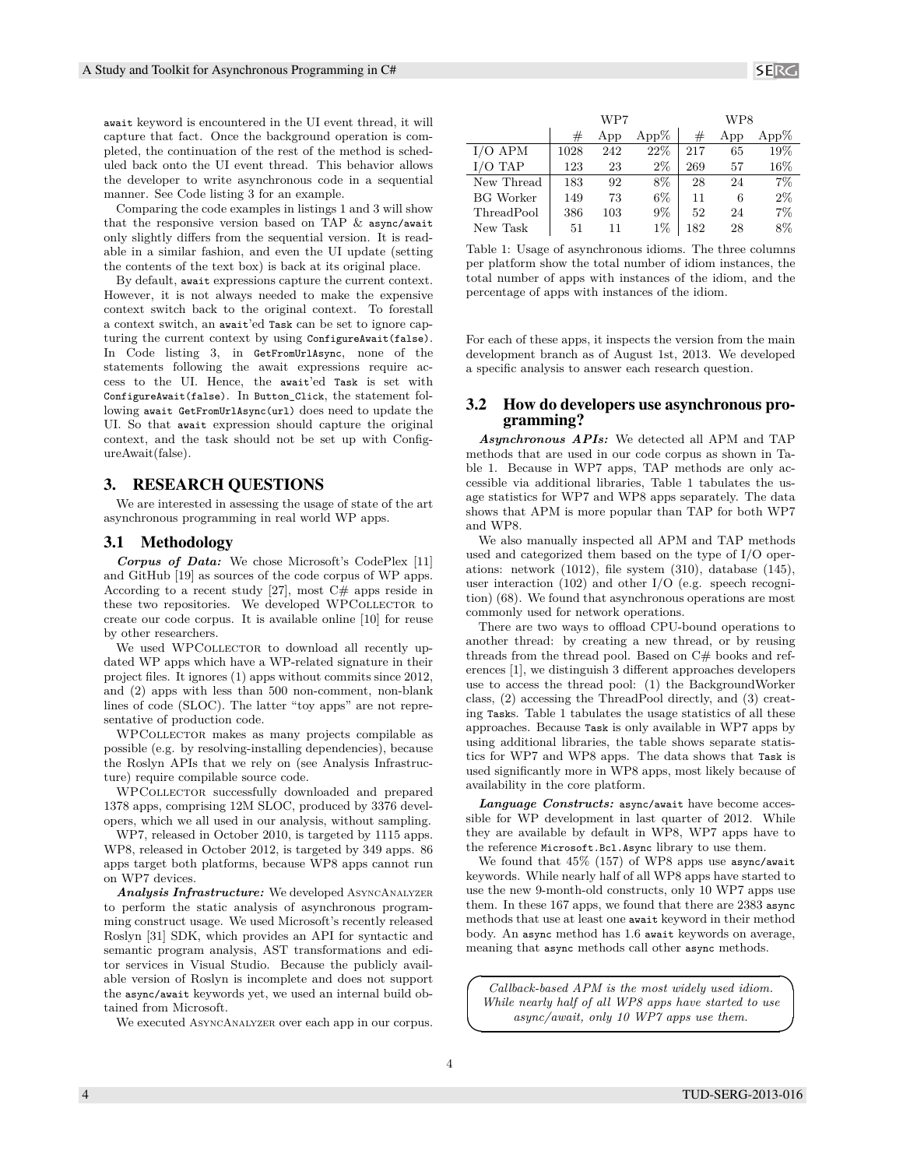await keyword is encountered in the UI event thread, it will capture that fact. Once the background operation is completed, the continuation of the rest of the method is scheduled back onto the UI event thread. This behavior allows the developer to write asynchronous code in a sequential manner. See Code listing 3 for an example.

Comparing the code examples in listings 1 and 3 will show that the responsive version based on TAP  $\&$  async/await only slightly differs from the sequential version. It is readable in a similar fashion, and even the UI update (setting the contents of the text box) is back at its original place.

By default, await expressions capture the current context. However, it is not always needed to make the expensive context switch back to the original context. To forestall a context switch, an await'ed Task can be set to ignore capturing the current context by using ConfigureAwait(false). In Code listing 3, in GetFromUrlAsync, none of the statements following the await expressions require access to the UI. Hence, the await'ed Task is set with ConfigureAwait(false). In Button\_Click, the statement following await GetFromUrlAsync(url) does need to update the UI. So that await expression should capture the original context, and the task should not be set up with ConfigureAwait(false).

# 3. RESEARCH QUESTIONS

We are interested in assessing the usage of state of the art asynchronous programming in real world WP apps.

# 3.1 Methodology

*Corpus of Data:* We chose Microsoft's CodePlex [11] and GitHub [19] as sources of the code corpus of WP apps. According to a recent study [27], most  $C#$  apps reside in these two repositories. We developed WPCOLLECTOR to create our code corpus. It is available online [10] for reuse by other researchers.

We used WPCOLLECTOR to download all recently updated WP apps which have a WP-related signature in their project files. It ignores (1) apps without commits since 2012, and (2) apps with less than 500 non-comment, non-blank lines of code (SLOC). The latter "toy apps" are not representative of production code.

WPCollector makes as many projects compilable as possible (e.g. by resolving-installing dependencies), because the Roslyn APIs that we rely on (see Analysis Infrastructure) require compilable source code.

WPCOLLECTOR successfully downloaded and prepared 1378 apps, comprising 12M SLOC, produced by 3376 developers, which we all used in our analysis, without sampling.

WP7, released in October 2010, is targeted by 1115 apps. WP8, released in October 2012, is targeted by 349 apps. 86 apps target both platforms, because WP8 apps cannot run on WP7 devices.

*Analysis Infrastructure:* We developed AsyncAnalyzer to perform the static analysis of asynchronous programming construct usage. We used Microsoft's recently released Roslyn [31] SDK, which provides an API for syntactic and semantic program analysis, AST transformations and editor services in Visual Studio. Because the publicly available version of Roslyn is incomplete and does not support the async/await keywords yet, we used an internal build obtained from Microsoft.

We executed AsyncAnalyzer over each app in our corpus.

WP7 WP8 App App%  $\#$  App App% I/O APM 1028 242 22% 217 65 19%  $I/O$  TAP  $\begin{array}{|c|c|c|c|c|c|c|c|c|} \hline 123 & 23 & 2\% & 269 & 57 & 16\% \hline \end{array}$ New Thread | 183 92 8% | 28 24 7% BG Worker 149 73 6% 11 6 2% ThreadPool 386 103 9% 52 24 7%

Table 1: Usage of asynchronous idioms. The three columns per platform show the total number of idiom instances, the total number of apps with instances of the idiom, and the percentage of apps with instances of the idiom.

New Task | 51 11 1% | 182 28 8%

For each of these apps, it inspects the version from the main development branch as of August 1st, 2013. We developed a specific analysis to answer each research question.

# 3.2 How do developers use asynchronous programming?

*Asynchronous APIs:* We detected all APM and TAP methods that are used in our code corpus as shown in Table 1. Because in WP7 apps, TAP methods are only accessible via additional libraries, Table 1 tabulates the usage statistics for WP7 and WP8 apps separately. The data shows that APM is more popular than TAP for both WP7 and WP8.

We also manually inspected all APM and TAP methods used and categorized them based on the type of I/O operations: network (1012), file system (310), database (145), user interaction (102) and other I/O (e.g. speech recognition) (68). We found that asynchronous operations are most commonly used for network operations.

There are two ways to offload CPU-bound operations to another thread: by creating a new thread, or by reusing threads from the thread pool. Based on C# books and references [1], we distinguish 3 different approaches developers use to access the thread pool: (1) the BackgroundWorker class, (2) accessing the ThreadPool directly, and (3) creating Tasks. Table 1 tabulates the usage statistics of all these approaches. Because Task is only available in WP7 apps by using additional libraries, the table shows separate statistics for WP7 and WP8 apps. The data shows that Task is used significantly more in WP8 apps, most likely because of availability in the core platform.

*Language Constructs:* async/await have become accessible for WP development in last quarter of 2012. While they are available by default in WP8, WP7 apps have to the reference Microsoft.Bcl.Async library to use them.

We found that 45% (157) of WP8 apps use async/await keywords. While nearly half of all WP8 apps have started to use the new 9-month-old constructs, only 10 WP7 apps use them. In these 167 apps, we found that there are 2383 async methods that use at least one await keyword in their method body. An async method has 1.6 await keywords on average, meaning that async methods call other async methods.

 $\overline{a}$ *Callback-based APM is the most widely used idiom. While nearly half of all WP8 apps have started to use async/await, only 10 WP7 apps use them.*

 $\overline{\phantom{0}}$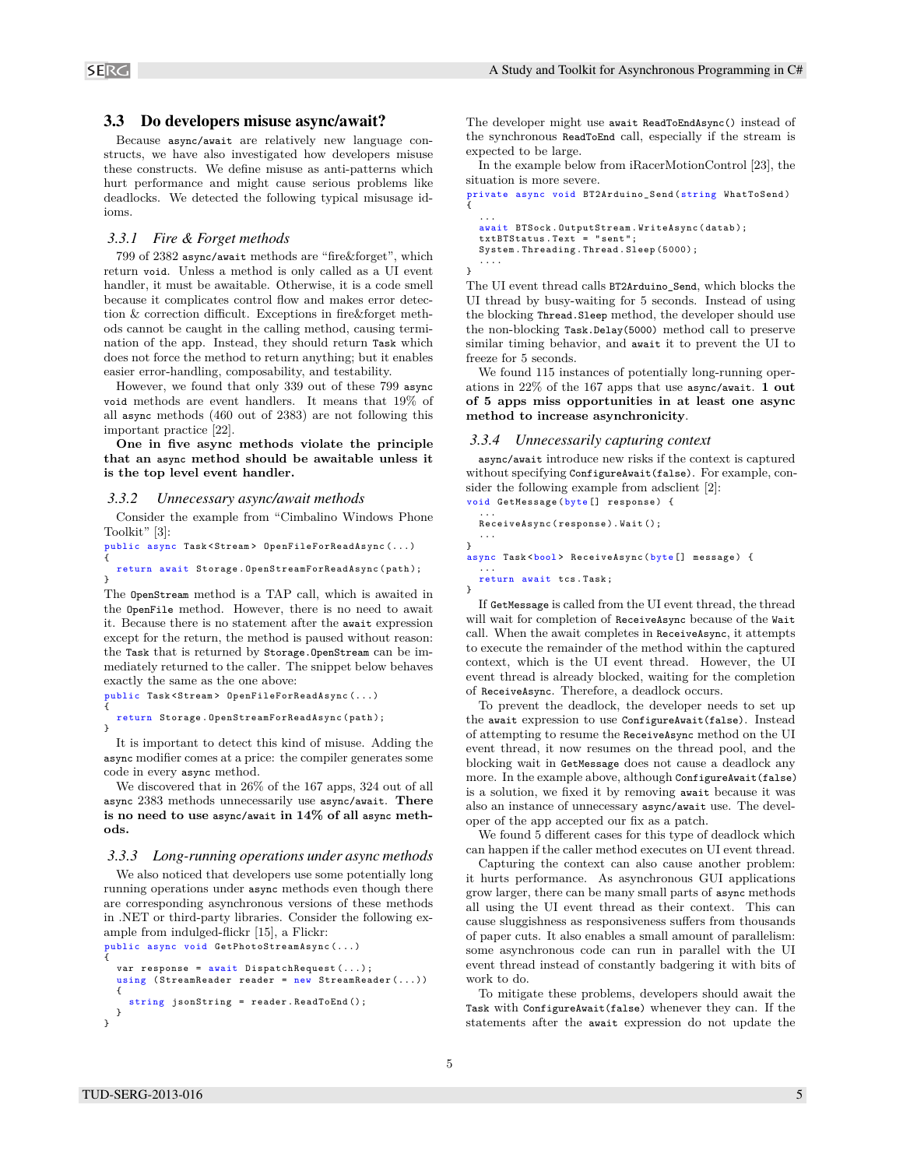#### 3.3 Do developers misuse async/await?

Because async/await are relatively new language constructs, we have also investigated how developers misuse these constructs. We define misuse as anti-patterns which hurt performance and might cause serious problems like deadlocks. We detected the following typical misusage idioms.

#### *3.3.1 Fire & Forget methods*

799 of 2382 async/await methods are "fire&forget", which return void. Unless a method is only called as a UI event handler, it must be awaitable. Otherwise, it is a code smell because it complicates control flow and makes error detection & correction difficult. Exceptions in fire&forget methods cannot be caught in the calling method, causing termination of the app. Instead, they should return Task which does not force the method to return anything; but it enables easier error-handling, composability, and testability.

However, we found that only 339 out of these 799 async void methods are event handlers. It means that 19% of all async methods (460 out of 2383) are not following this important practice [22].

**One in five async methods violate the principle that an async method should be awaitable unless it is the top level event handler.**

#### *3.3.2 Unnecessary async/await methods*

Consider the example from "Cimbalino Windows Phone Toolkit" [3]:

public async Task < Stream > OpenFileForReadAsync (...) {

#### return await Storage . OpenStreamForReadAsync ( path ); }

The OpenStream method is a TAP call, which is awaited in the OpenFile method. However, there is no need to await it. Because there is no statement after the await expression except for the return, the method is paused without reason: the Task that is returned by Storage.OpenStream can be immediately returned to the caller. The snippet below behaves exactly the same as the one above:

```
public Task < Stream > OpenFileForReadAsync (...)
{
```
#### return Storage . OpenStreamForReadAsync ( path ); }

It is important to detect this kind of misuse. Adding the async modifier comes at a price: the compiler generates some code in every async method.

We discovered that in 26% of the 167 apps, 324 out of all async 2383 methods unnecessarily use async/await. **There is no need to use async/await in 14% of all async methods.**

#### *3.3.3 Long-running operations under async methods*

We also noticed that developers use some potentially long running operations under async methods even though there are corresponding asynchronous versions of these methods in .NET or third-party libraries. Consider the following example from indulged-flickr [15], a Flickr:

```
public async void GetPhotoStreamAsync (...)
{
  var response = await DispatchRequest (...);
  using (StreamReader reader = new StreamReader (...))
  {
    string jsonString = reader . ReadToEnd ();
  }
}
```
The developer might use await ReadToEndAsync() instead of the synchronous ReadToEnd call, especially if the stream is expected to be large.

In the example below from iRacerMotionControl [23], the situation is more severe.

```
private async void BT2Arduino_Send ( string WhatToSend )
{
  ...
await BTSock . OutputStream . WriteAsync ( datab );
  txtBTStatus.Text<sup>2</sup> = "sent";
  System . Threading . Thread . Sleep (5000);
```

```
....
}
```
}

}

...

The UI event thread calls BT2Arduino\_Send, which blocks the UI thread by busy-waiting for 5 seconds. Instead of using the blocking Thread.Sleep method, the developer should use the non-blocking Task.Delay(5000) method call to preserve similar timing behavior, and await it to prevent the UI to freeze for 5 seconds.

We found 115 instances of potentially long-running operations in 22% of the 167 apps that use async/await. **1 out of 5 apps miss opportunities in at least one async method to increase asynchronicity**.

### *3.3.4 Unnecessarily capturing context*

async/await introduce new risks if the context is captured without specifying ConfigureAwait(false). For example, consider the following example from adsclient [2]: void GetMessage ( byte [] response ) {

...

```
ReceiveAsync ( response ). Wait ();
...
```
async Task <bool> ReceiveAsync (byte [] message) {

```
return await tcs . Task ;
```
If GetMessage is called from the UI event thread, the thread will wait for completion of ReceiveAsync because of the Wait call. When the await completes in ReceiveAsync, it attempts to execute the remainder of the method within the captured context, which is the UI event thread. However, the UI event thread is already blocked, waiting for the completion of ReceiveAsync. Therefore, a deadlock occurs.

To prevent the deadlock, the developer needs to set up the await expression to use ConfigureAwait(false). Instead of attempting to resume the ReceiveAsync method on the UI event thread, it now resumes on the thread pool, and the blocking wait in GetMessage does not cause a deadlock any more. In the example above, although ConfigureAwait(false) is a solution, we fixed it by removing await because it was also an instance of unnecessary async/await use. The developer of the app accepted our fix as a patch.

We found 5 different cases for this type of deadlock which can happen if the caller method executes on UI event thread.

Capturing the context can also cause another problem: it hurts performance. As asynchronous GUI applications grow larger, there can be many small parts of async methods all using the UI event thread as their context. This can cause sluggishness as responsiveness suffers from thousands of paper cuts. It also enables a small amount of parallelism: some asynchronous code can run in parallel with the UI event thread instead of constantly badgering it with bits of work to do.

To mitigate these problems, developers should await the Task with ConfigureAwait(false) whenever they can. If the statements after the await expression do not update the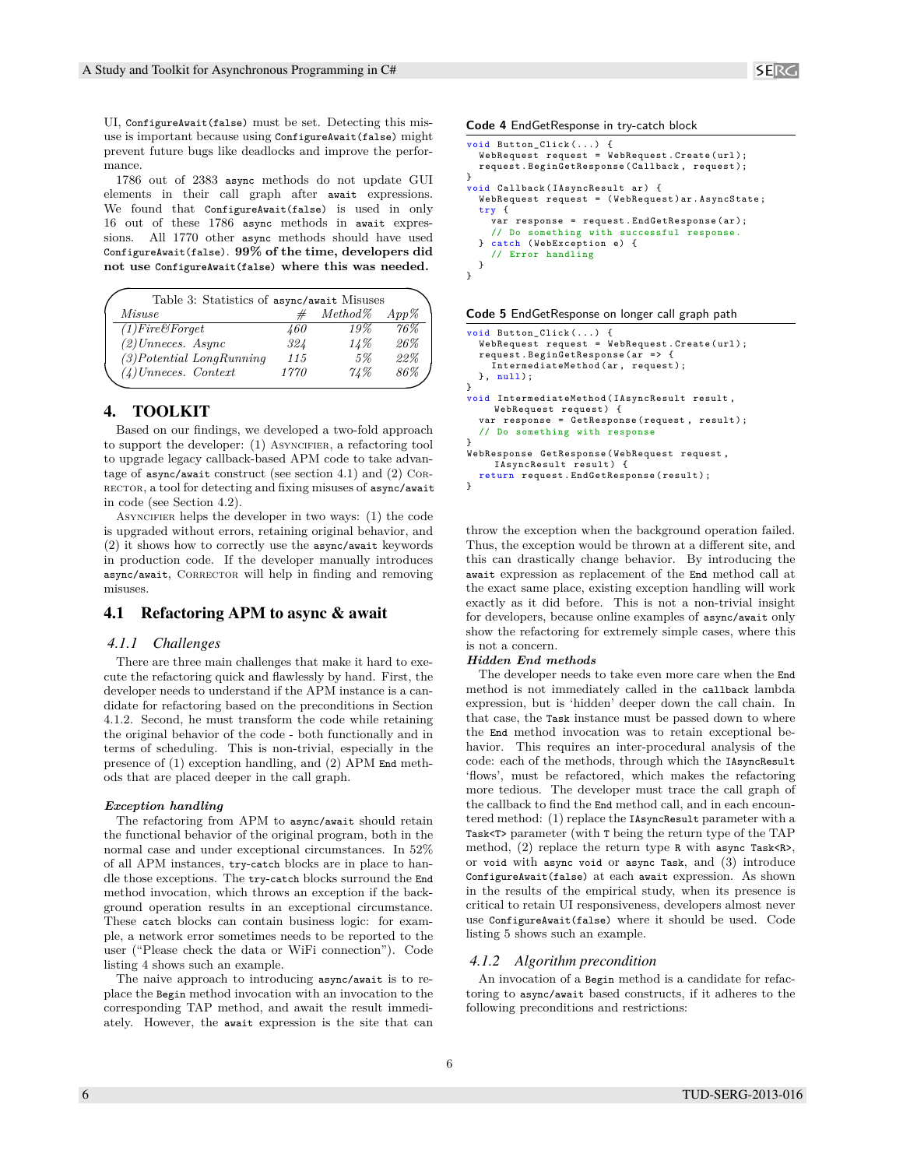UI, ConfigureAwait(false) must be set. Detecting this misuse is important because using ConfigureAwait(false) might prevent future bugs like deadlocks and improve the performance.

1786 out of 2383 async methods do not update GUI elements in their call graph after await expressions. We found that ConfigureAwait(false) is used in only 16 out of these 1786 async methods in await expressions. All 1770 other async methods should have used ConfigureAwait(false). **99% of the time, developers did not use ConfigureAwait(false) where this was needed.**

|                             | Table 3: Statistics of async/await Misuses |            |         |  |  |  |  |  |
|-----------------------------|--------------------------------------------|------------|---------|--|--|--|--|--|
| Misuse                      | #                                          | $Method\%$ | $App\%$ |  |  |  |  |  |
| $(1)$ Fire&Forget           | 460                                        | 19%        | 76%     |  |  |  |  |  |
| $(2)$ Unneces. Async        | 324                                        | 14%        | 26%     |  |  |  |  |  |
| $(3) Potential$ LongRunning | 115                                        | 5%         | 22%     |  |  |  |  |  |
| $(4)$ Unneces. Context      | 1770                                       | 71%        | 86%     |  |  |  |  |  |

# 4. TOOLKIT

Based on our findings, we developed a two-fold approach to support the developer:  $(1)$  ASYNCIFIER, a refactoring tool to upgrade legacy callback-based APM code to take advantage of async/await construct (see section 4.1) and (2) Cor-RECTOR, a tool for detecting and fixing misuses of async/await in code (see Section 4.2).

ASYNCIFIER helps the developer in two ways: (1) the code is upgraded without errors, retaining original behavior, and (2) it shows how to correctly use the async/await keywords in production code. If the developer manually introduces async/await, CORRECTOR will help in finding and removing misuses.

# 4.1 Refactoring APM to async & await

#### *4.1.1 Challenges*

There are three main challenges that make it hard to execute the refactoring quick and flawlessly by hand. First, the developer needs to understand if the APM instance is a candidate for refactoring based on the preconditions in Section 4.1.2. Second, he must transform the code while retaining the original behavior of the code - both functionally and in terms of scheduling. This is non-trivial, especially in the presence of (1) exception handling, and (2) APM End methods that are placed deeper in the call graph.

#### *Exception handling*

The refactoring from APM to async/await should retain the functional behavior of the original program, both in the normal case and under exceptional circumstances. In 52% of all APM instances, try-catch blocks are in place to handle those exceptions. The try-catch blocks surround the End method invocation, which throws an exception if the background operation results in an exceptional circumstance. These catch blocks can contain business logic: for example, a network error sometimes needs to be reported to the user ("Please check the data or WiFi connection"). Code listing 4 shows such an example.

The naive approach to introducing async/await is to replace the Begin method invocation with an invocation to the corresponding TAP method, and await the result immediately. However, the await expression is the site that can **Code 4** EndGetResponse in try-catch block

```
void Button Click (...)
  WebRequest request = WebRequest. Create (url);
  request . BeginGetResponse ( Callback , request );
}
void Callback ( IAsyncResult ar ) {
  WebRequest request = ( WebRequest ) ar . AsyncState ;
  try {
    var response = request . EndGetResponse ( ar );
    // Do something with successful response
  } catch ( WebException e) {
    // Error handling
  }
}
```

|  |  |  | Code 5 EndGetResponse on longer call graph path |  |  |  |  |  |
|--|--|--|-------------------------------------------------|--|--|--|--|--|
|--|--|--|-------------------------------------------------|--|--|--|--|--|

```
✦
void IntermediateMethod ( IAsyncResult result ,
      void Button_Click (...) {
WebRequest request = WebRequest . Create ( url ) ;
        request . BeginGetResponse ( ar = > {
           IntermediateMethod (ar, request);
        }, null );
      }
           WebRequest request) {
        var response = GetResponse ( request , result );
        // Do something with response
      }
      WebResponse GetResponse ( WebRequest request ,
           IAsyncResult result) {
        return request . EndGetResponse ( result );
      }
```
throw the exception when the background operation failed. Thus, the exception would be thrown at a different site, and this can drastically change behavior. By introducing the await expression as replacement of the End method call at the exact same place, existing exception handling will work exactly as it did before. This is not a non-trivial insight for developers, because online examples of async/await only show the refactoring for extremely simple cases, where this is not a concern.

#### *Hidden End methods*

The developer needs to take even more care when the End method is not immediately called in the callback lambda expression, but is 'hidden' deeper down the call chain. In that case, the Task instance must be passed down to where the End method invocation was to retain exceptional behavior. This requires an inter-procedural analysis of the code: each of the methods, through which the IAsyncResult 'flows', must be refactored, which makes the refactoring more tedious. The developer must trace the call graph of the callback to find the End method call, and in each encountered method: (1) replace the IAsyncResult parameter with a Task<T> parameter (with T being the return type of the TAP method, (2) replace the return type R with async Task<R>, or void with async void or async Task, and (3) introduce ConfigureAwait(false) at each await expression. As shown in the results of the empirical study, when its presence is critical to retain UI responsiveness, developers almost never use ConfigureAwait(false) where it should be used. Code listing 5 shows such an example.

#### *4.1.2 Algorithm precondition*

An invocation of a Begin method is a candidate for refactoring to async/await based constructs, if it adheres to the following preconditions and restrictions: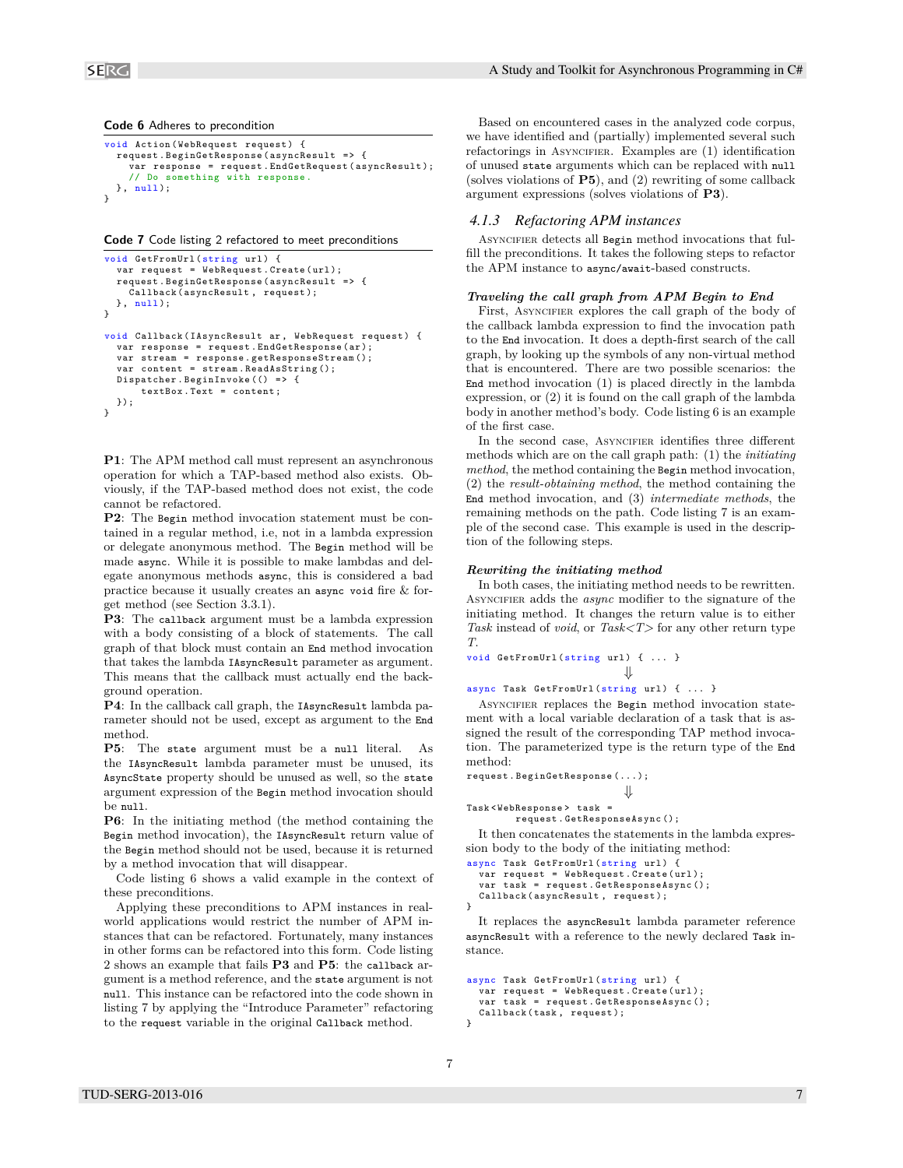**Code 6** Adheres to precondition

```
void Action ( WebRequest request ) {
  request . BeginGetResponse ( asyncResult = > {
     var response = request . EndGetRequest ( asyncResult );
     // Do something with response .
  \}, null):
}
```
**Code 7** Code listing 2 refactored to meet preconditions

```
void GetFromUrl (string url) {
  var request = WebRequest. Create (url);
  request . BeginGetResponse ( asyncResult = > {
    Callback ( asyncResult , request );
  }, null );
}
void Callback ( IAsyncResult ar , WebRequest request ) {
  var response = request. EndGetResponse (ar);
  var stream = response . getResponseStream ();
  var content = stream. ReadAsString();
  Dispatcher . BeginInvoke (() => {
      textBox . Text = content ;
  });
}
```
**P1**: The APM method call must represent an asynchronous operation for which a TAP-based method also exists. Obviously, if the TAP-based method does not exist, the code cannot be refactored.

**P2**: The Begin method invocation statement must be contained in a regular method, i.e, not in a lambda expression or delegate anonymous method. The Begin method will be made async. While it is possible to make lambdas and delegate anonymous methods async, this is considered a bad practice because it usually creates an async void fire & forget method (see Section 3.3.1).

**P3**: The callback argument must be a lambda expression with a body consisting of a block of statements. The call graph of that block must contain an End method invocation that takes the lambda IAsyncResult parameter as argument. This means that the callback must actually end the background operation.

**P4**: In the callback call graph, the IAsyncResult lambda parameter should not be used, except as argument to the End method.

**P5**: The state argument must be a null literal. As the IAsyncResult lambda parameter must be unused, its AsyncState property should be unused as well, so the state argument expression of the Begin method invocation should be null.

**P6**: In the initiating method (the method containing the Begin method invocation), the IAsyncResult return value of the Begin method should not be used, because it is returned by a method invocation that will disappear.

Code listing 6 shows a valid example in the context of these preconditions.

Applying these preconditions to APM instances in realworld applications would restrict the number of APM instances that can be refactored. Fortunately, many instances in other forms can be refactored into this form. Code listing 2 shows an example that fails **P3** and **P5**: the callback argument is a method reference, and the state argument is not null. This instance can be refactored into the code shown in listing 7 by applying the "Introduce Parameter" refactoring to the request variable in the original Callback method.

Based on encountered cases in the analyzed code corpus, we have identified and (partially) implemented several such refactorings in ASYNCIFIER. Examples are  $(1)$  identification of unused state arguments which can be replaced with null (solves violations of **P5**), and (2) rewriting of some callback argument expressions (solves violations of **P3**).

#### *4.1.3 Refactoring APM instances*

ASYNCIFIER detects all Begin method invocations that fulfill the preconditions. It takes the following steps to refactor the APM instance to async/await-based constructs.

#### *Traveling the call graph from APM Begin to End*

First, ASYNCIFIER explores the call graph of the body of the callback lambda expression to find the invocation path to the End invocation. It does a depth-first search of the call graph, by looking up the symbols of any non-virtual method that is encountered. There are two possible scenarios: the End method invocation (1) is placed directly in the lambda expression, or (2) it is found on the call graph of the lambda body in another method's body. Code listing 6 is an example of the first case.

In the second case, ASYNCIFIER identifies three different methods which are on the call graph path: (1) the *initiating method*, the method containing the Begin method invocation, (2) the *result-obtaining method*, the method containing the End method invocation, and (3) *intermediate methods*, the remaining methods on the path. Code listing 7 is an example of the second case. This example is used in the description of the following steps.

#### *Rewriting the initiating method*

In both cases, the initiating method needs to be rewritten. ASYNCIFIER adds the *async* modifier to the signature of the initiating method. It changes the return value is to either *Task* instead of *void*, or *Task<T>* for any other return type *T*.

```
void GetFromUn1(String url) { ... }
```
\n
$$
\parallel
$$

⇓ async Task GetFromUrl ( string url ) { ... }

ASYNCIFIER replaces the Begin method invocation statement with a local variable declaration of a task that is assigned the result of the corresponding TAP method invocation. The parameterized type is the return type of the End method:

```
request . BeginGetResponse (...);
                             ⇓
```

$$
Task < WebResponse > task =
$$

request . GetResponseAsync ();

It then concatenates the statements in the lambda expression body to the body of the initiating method:

```
async Task GetFromUrl (string url) {
  var request = WebRequest . Create ( url );
  var task = request . GetResponseAsync ();
  Callback ( asyncResult , request );
}
```
It replaces the asyncResult lambda parameter reference asyncResult with a reference to the newly declared Task instance.

```
async Task GetFromUrl (string url) {
  var request = WebRequest. Create (url):
  var task = request . GetResponseAsync ();
  Callback (task, request);
}
```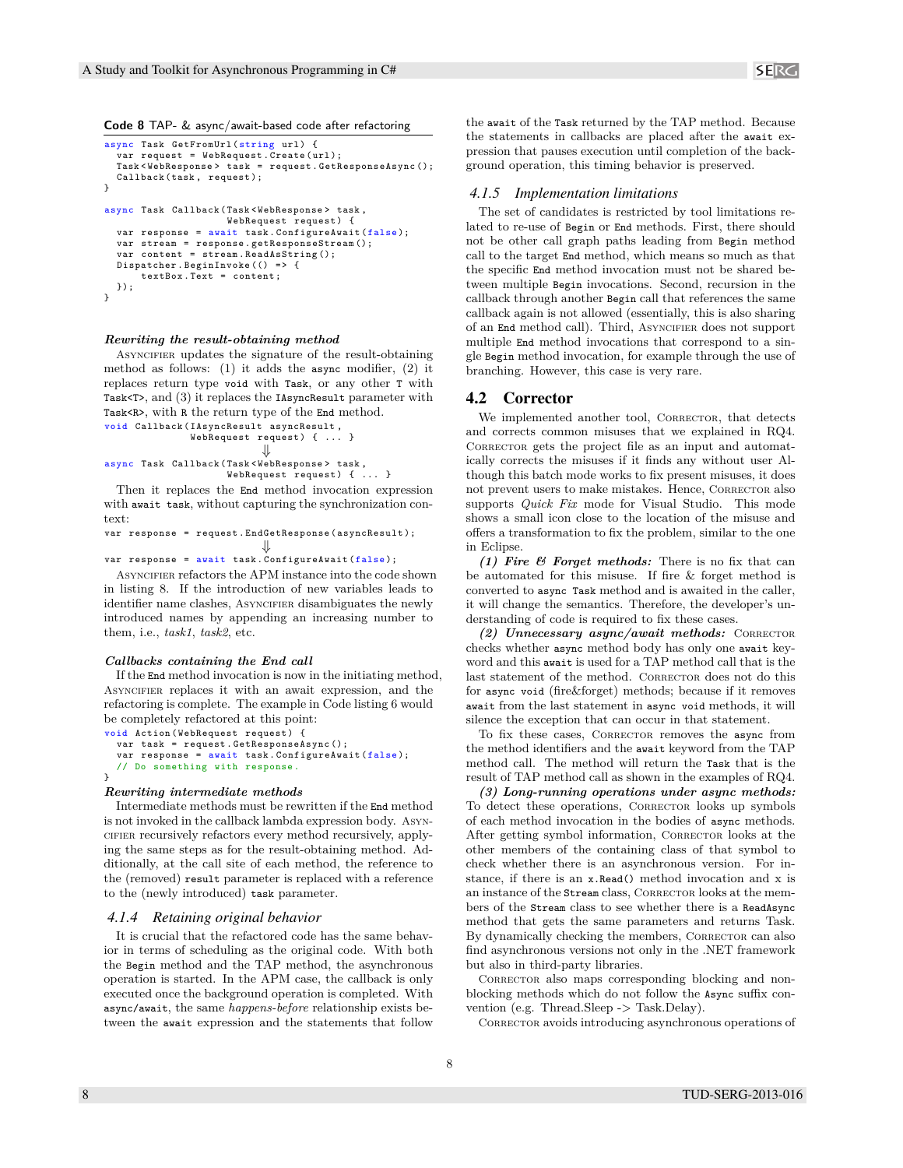**Code 8** TAP- & async/await-based code after refactoring

```
async Task GetFromUrl (string url) {
   .<br>var request = WebRequest.Create(url);
  Task < WebResponse > task = request . GetResponseAsync ();
  Callback (task, request);
}
async Task Callback ( Task < WebResponse > task ,
                        WebRequest request) {
  var response = await task. ConfigureAwait (false);
   var stream = response . getResponseStream ();
var content = stream . ReadAsString ();
  Dispatcher . BeginInvoke (() => {
       text{text}. Text = content;
  });
}
```
#### *Rewriting the result-obtaining method*

ASYNCIFIER updates the signature of the result-obtaining method as follows: (1) it adds the async modifier, (2) it replaces return type void with Task, or any other T with Task<T>, and (3) it replaces the IAsyncResult parameter with Task<R>, with R the return type of the End method. void Callback ( IAsyncResult asyncResult ,

```
WebRequest request) { ... }
                           ⇓
async Task Callback ( Task < WebResponse > task ,
                     WebRequest request) { ... }
```
Then it replaces the End method invocation expression with await task, without capturing the synchronization context:

```
var response = request . EndGetResponse ( asyncResult );
                            ⇓
```
var response = await task. ConfigureAwait (false);

ASYNCIFIER refactors the APM instance into the code shown in listing 8. If the introduction of new variables leads to identifier name clashes, ASYNCIFIER disambiguates the newly introduced names by appending an increasing number to them, i.e., *task1*, *task2*, etc.

#### *Callbacks containing the End call*

If the End method invocation is now in the initiating method, ASYNCIFIER replaces it with an await expression, and the refactoring is complete. The example in Code listing 6 would be completely refactored at this point:

```
void Action ( WebRequest request ) {
  var task = request . GetResponseAsync ();
  var response = await task. ConfigureAwait (false);
  // Do something with response .
}
```
#### *Rewriting intermediate methods*

Intermediate methods must be rewritten if the End method is not invoked in the callback lambda expression body. Asyncifier recursively refactors every method recursively, applying the same steps as for the result-obtaining method. Additionally, at the call site of each method, the reference to the (removed) result parameter is replaced with a reference to the (newly introduced) task parameter.

#### *4.1.4 Retaining original behavior*

It is crucial that the refactored code has the same behavior in terms of scheduling as the original code. With both the Begin method and the TAP method, the asynchronous operation is started. In the APM case, the callback is only executed once the background operation is completed. With async/await, the same *happens-before* relationship exists between the await expression and the statements that follow the await of the Task returned by the TAP method. Because the statements in callbacks are placed after the await expression that pauses execution until completion of the background operation, this timing behavior is preserved.

#### *4.1.5 Implementation limitations*

The set of candidates is restricted by tool limitations related to re-use of Begin or End methods. First, there should not be other call graph paths leading from Begin method call to the target End method, which means so much as that the specific End method invocation must not be shared between multiple Begin invocations. Second, recursion in the callback through another Begin call that references the same callback again is not allowed (essentially, this is also sharing of an End method call). Third, ASYNCIFIER does not support multiple End method invocations that correspond to a single Begin method invocation, for example through the use of branching. However, this case is very rare.

#### 4.2 Corrector

We implemented another tool, CORRECTOR, that detects and corrects common misuses that we explained in RQ4. CORRECTOR gets the project file as an input and automatically corrects the misuses if it finds any without user Although this batch mode works to fix present misuses, it does not prevent users to make mistakes. Hence, CORRECTOR also supports *Quick Fix* mode for Visual Studio. This mode shows a small icon close to the location of the misuse and offers a transformation to fix the problem, similar to the one in Eclipse.

*(1) Fire & Forget methods:* There is no fix that can be automated for this misuse. If fire & forget method is converted to async Task method and is awaited in the caller, it will change the semantics. Therefore, the developer's understanding of code is required to fix these cases.

*(2) Unnecessary async/await methods:* CORRECTOR checks whether async method body has only one await keyword and this await is used for a TAP method call that is the last statement of the method. CORRECTOR does not do this for async void (fire&forget) methods; because if it removes await from the last statement in async void methods, it will silence the exception that can occur in that statement.

To fix these cases, CORRECTOR removes the async from the method identifiers and the await keyword from the TAP method call. The method will return the Task that is the result of TAP method call as shown in the examples of RQ4.

*(3) Long-running operations under async methods:* To detect these operations, CORRECTOR looks up symbols of each method invocation in the bodies of async methods. After getting symbol information, CORRECTOR looks at the other members of the containing class of that symbol to check whether there is an asynchronous version. For instance, if there is an x.Read() method invocation and x is an instance of the Stream class, CORRECTOR looks at the members of the Stream class to see whether there is a ReadAsync method that gets the same parameters and returns Task. By dynamically checking the members, Corrector can also find asynchronous versions not only in the .NET framework but also in third-party libraries.

CORRECTOR also maps corresponding blocking and nonblocking methods which do not follow the Async suffix convention (e.g. Thread.Sleep -> Task.Delay).

Corrector avoids introducing asynchronous operations of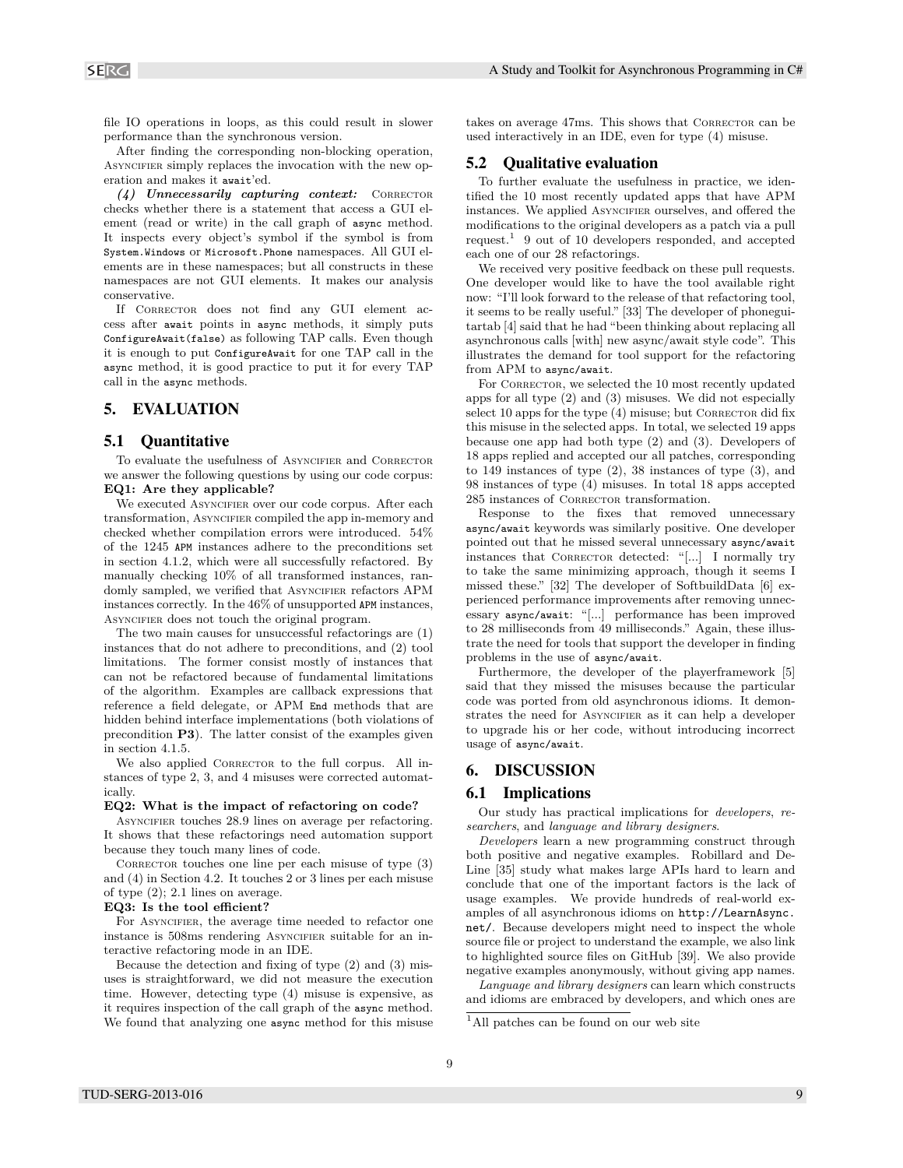file IO operations in loops, as this could result in slower performance than the synchronous version.

After finding the corresponding non-blocking operation, ASYNCIFIER simply replaces the invocation with the new operation and makes it await'ed.

*(4) Unnecessarily capturing context:* CORRECTOR checks whether there is a statement that access a GUI element (read or write) in the call graph of async method. It inspects every object's symbol if the symbol is from System.Windows or Microsoft.Phone namespaces. All GUI elements are in these namespaces; but all constructs in these namespaces are not GUI elements. It makes our analysis conservative.

If CORRECTOR does not find any GUI element access after await points in async methods, it simply puts ConfigureAwait(false) as following TAP calls. Even though it is enough to put ConfigureAwait for one TAP call in the async method, it is good practice to put it for every TAP call in the async methods.

# 5. EVALUATION

#### 5.1 Quantitative

To evaluate the usefulness of ASYNCIFIER and CORRECTOR we answer the following questions by using our code corpus: **EQ1: Are they applicable?**

We executed ASYNCIFIER over our code corpus. After each transformation, ASYNCIFIER compiled the app in-memory and checked whether compilation errors were introduced. 54% of the 1245 APM instances adhere to the preconditions set in section 4.1.2, which were all successfully refactored. By manually checking 10% of all transformed instances, randomly sampled, we verified that ASYNCIFIER refactors APM instances correctly. In the 46% of unsupported APM instances, ASYNCIFIER does not touch the original program.

The two main causes for unsuccessful refactorings are (1) instances that do not adhere to preconditions, and (2) tool limitations. The former consist mostly of instances that can not be refactored because of fundamental limitations of the algorithm. Examples are callback expressions that reference a field delegate, or APM End methods that are hidden behind interface implementations (both violations of precondition **P3**). The latter consist of the examples given in section 4.1.5.

We also applied CORRECTOR to the full corpus. All instances of type 2, 3, and 4 misuses were corrected automatically.

#### **EQ2: What is the impact of refactoring on code?**

ASYNCIFIER touches 28.9 lines on average per refactoring. It shows that these refactorings need automation support because they touch many lines of code.

CORRECTOR touches one line per each misuse of type  $(3)$ and (4) in Section 4.2. It touches 2 or 3 lines per each misuse of type (2); 2.1 lines on average.

#### **EQ3: Is the tool efficient?**

For ASYNCIFIER, the average time needed to refactor one instance is 508ms rendering ASYNCIFIER suitable for an interactive refactoring mode in an IDE.

Because the detection and fixing of type (2) and (3) misuses is straightforward, we did not measure the execution time. However, detecting type (4) misuse is expensive, as it requires inspection of the call graph of the async method. We found that analyzing one async method for this misuse takes on average 47ms. This shows that CORRECTOR can be used interactively in an IDE, even for type (4) misuse.

# 5.2 Qualitative evaluation

To further evaluate the usefulness in practice, we identified the 10 most recently updated apps that have APM instances. We applied ASYNCIFIER ourselves, and offered the modifications to the original developers as a patch via a pull request.<sup>1</sup> 9 out of 10 developers responded, and accepted each one of our 28 refactorings.

We received very positive feedback on these pull requests. One developer would like to have the tool available right now: "I'll look forward to the release of that refactoring tool, it seems to be really useful." [33] The developer of phoneguitartab [4] said that he had "been thinking about replacing all asynchronous calls [with] new async/await style code". This illustrates the demand for tool support for the refactoring from APM to async/await.

For CORRECTOR, we selected the 10 most recently updated apps for all type (2) and (3) misuses. We did not especially select  $10$  apps for the type  $(4)$  misuse; but Corrector did fix this misuse in the selected apps. In total, we selected 19 apps because one app had both type (2) and (3). Developers of 18 apps replied and accepted our all patches, corresponding to 149 instances of type (2), 38 instances of type (3), and 98 instances of type (4) misuses. In total 18 apps accepted 285 instances of CORRECTOR transformation.

Response to the fixes that removed unnecessary async/await keywords was similarly positive. One developer pointed out that he missed several unnecessary async/await instances that CORRECTOR detected: "[...] I normally try to take the same minimizing approach, though it seems I missed these." [32] The developer of SoftbuildData [6] experienced performance improvements after removing unnecessary async/await: "[...] performance has been improved to 28 milliseconds from 49 milliseconds." Again, these illustrate the need for tools that support the developer in finding problems in the use of async/await.

Furthermore, the developer of the playerframework [5] said that they missed the misuses because the particular code was ported from old asynchronous idioms. It demonstrates the need for ASYNCIFIER as it can help a developer to upgrade his or her code, without introducing incorrect usage of async/await.

# 6. DISCUSSION

# 6.1 Implications

Our study has practical implications for *developers*, *researchers*, and *language and library designers*.

*Developers* learn a new programming construct through both positive and negative examples. Robillard and De-Line [35] study what makes large APIs hard to learn and conclude that one of the important factors is the lack of usage examples. We provide hundreds of real-world examples of all asynchronous idioms on http://LearnAsync. net/. Because developers might need to inspect the whole source file or project to understand the example, we also link to highlighted source files on GitHub [39]. We also provide negative examples anonymously, without giving app names.

*Language and library designers* can learn which constructs and idioms are embraced by developers, and which ones are

 $^1\mathrm{All}$  patches can be found on our web site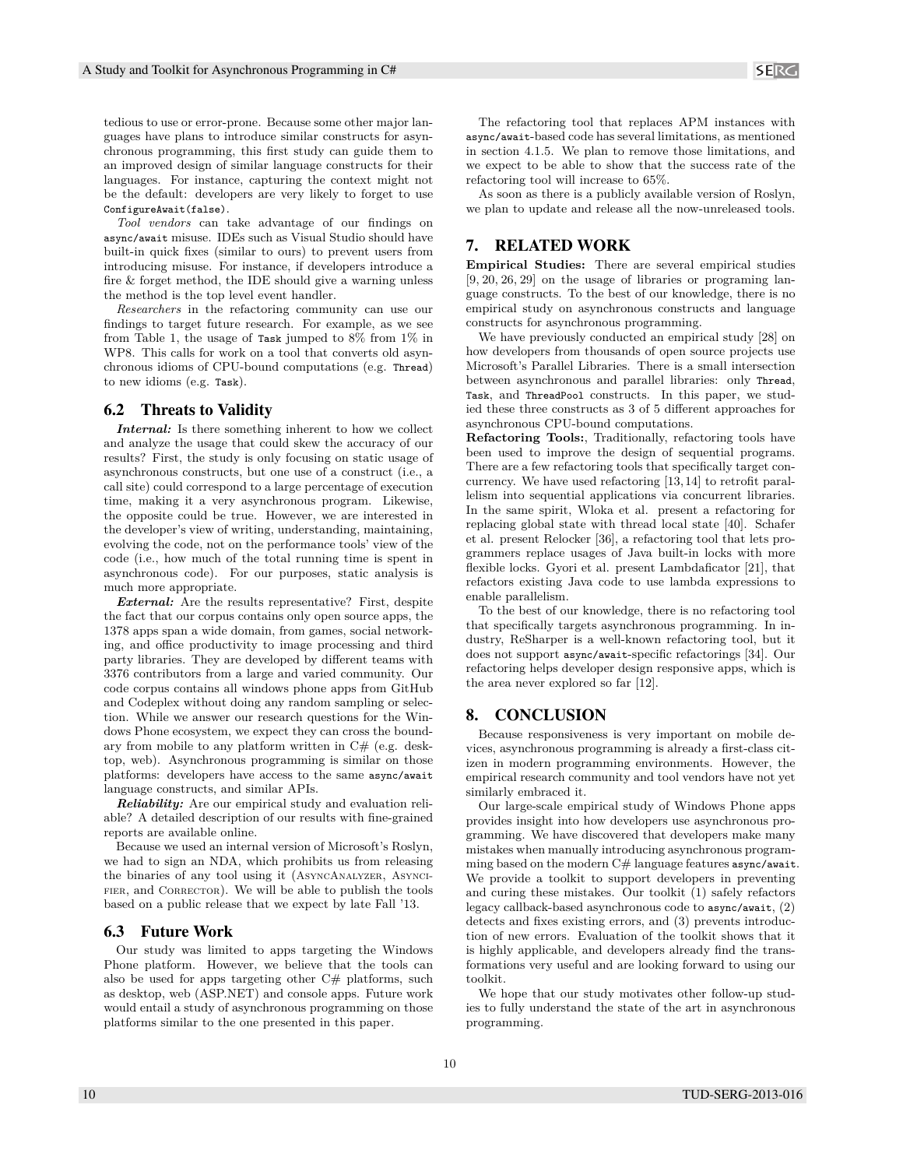tedious to use or error-prone. Because some other major languages have plans to introduce similar constructs for asynchronous programming, this first study can guide them to an improved design of similar language constructs for their languages. For instance, capturing the context might not be the default: developers are very likely to forget to use ConfigureAwait(false).

*Tool vendors* can take advantage of our findings on async/await misuse. IDEs such as Visual Studio should have built-in quick fixes (similar to ours) to prevent users from introducing misuse. For instance, if developers introduce a fire & forget method, the IDE should give a warning unless the method is the top level event handler.

*Researchers* in the refactoring community can use our findings to target future research. For example, as we see from Table 1, the usage of Task jumped to 8% from 1% in WP8. This calls for work on a tool that converts old asynchronous idioms of CPU-bound computations (e.g. Thread) to new idioms (e.g. Task).

# 6.2 Threats to Validity

*Internal:* Is there something inherent to how we collect and analyze the usage that could skew the accuracy of our results? First, the study is only focusing on static usage of asynchronous constructs, but one use of a construct (i.e., a call site) could correspond to a large percentage of execution time, making it a very asynchronous program. Likewise, the opposite could be true. However, we are interested in the developer's view of writing, understanding, maintaining, evolving the code, not on the performance tools' view of the code (i.e., how much of the total running time is spent in asynchronous code). For our purposes, static analysis is much more appropriate.

*External:* Are the results representative? First, despite the fact that our corpus contains only open source apps, the 1378 apps span a wide domain, from games, social networking, and office productivity to image processing and third party libraries. They are developed by different teams with 3376 contributors from a large and varied community. Our code corpus contains all windows phone apps from GitHub and Codeplex without doing any random sampling or selection. While we answer our research questions for the Windows Phone ecosystem, we expect they can cross the boundary from mobile to any platform written in  $C#$  (e.g. desktop, web). Asynchronous programming is similar on those platforms: developers have access to the same async/await language constructs, and similar APIs.

*Reliability:* Are our empirical study and evaluation reliable? A detailed description of our results with fine-grained reports are available online.

Because we used an internal version of Microsoft's Roslyn, we had to sign an NDA, which prohibits us from releasing the binaries of any tool using it (AsyncAnalyzer, Asynci-FIER, and CORRECTOR). We will be able to publish the tools based on a public release that we expect by late Fall '13.

### 6.3 Future Work

Our study was limited to apps targeting the Windows Phone platform. However, we believe that the tools can also be used for apps targeting other  $C#$  platforms, such as desktop, web (ASP.NET) and console apps. Future work would entail a study of asynchronous programming on those platforms similar to the one presented in this paper.

The refactoring tool that replaces APM instances with async/await-based code has several limitations, as mentioned in section 4.1.5. We plan to remove those limitations, and we expect to be able to show that the success rate of the refactoring tool will increase to 65%.

As soon as there is a publicly available version of Roslyn, we plan to update and release all the now-unreleased tools.

# 7. RELATED WORK

**Empirical Studies:** There are several empirical studies [9, 20, 26, 29] on the usage of libraries or programing language constructs. To the best of our knowledge, there is no empirical study on asynchronous constructs and language constructs for asynchronous programming.

We have previously conducted an empirical study [28] on how developers from thousands of open source projects use Microsoft's Parallel Libraries. There is a small intersection between asynchronous and parallel libraries: only Thread, Task, and ThreadPool constructs. In this paper, we studied these three constructs as 3 of 5 different approaches for asynchronous CPU-bound computations.

**Refactoring Tools:**, Traditionally, refactoring tools have been used to improve the design of sequential programs. There are a few refactoring tools that specifically target concurrency. We have used refactoring [13, 14] to retrofit parallelism into sequential applications via concurrent libraries. In the same spirit, Wloka et al. present a refactoring for replacing global state with thread local state [40]. Schafer et al. present Relocker [36], a refactoring tool that lets programmers replace usages of Java built-in locks with more flexible locks. Gyori et al. present Lambdaficator [21], that refactors existing Java code to use lambda expressions to enable parallelism.

To the best of our knowledge, there is no refactoring tool that specifically targets asynchronous programming. In industry, ReSharper is a well-known refactoring tool, but it does not support async/await-specific refactorings [34]. Our refactoring helps developer design responsive apps, which is the area never explored so far [12].

# 8. CONCLUSION

Because responsiveness is very important on mobile devices, asynchronous programming is already a first-class citizen in modern programming environments. However, the empirical research community and tool vendors have not yet similarly embraced it.

Our large-scale empirical study of Windows Phone apps provides insight into how developers use asynchronous programming. We have discovered that developers make many mistakes when manually introducing asynchronous programming based on the modern  $C#$  language features async/await. We provide a toolkit to support developers in preventing and curing these mistakes. Our toolkit (1) safely refactors legacy callback-based asynchronous code to async/await, (2) detects and fixes existing errors, and (3) prevents introduction of new errors. Evaluation of the toolkit shows that it is highly applicable, and developers already find the transformations very useful and are looking forward to using our toolkit.

We hope that our study motivates other follow-up studies to fully understand the state of the art in asynchronous programming.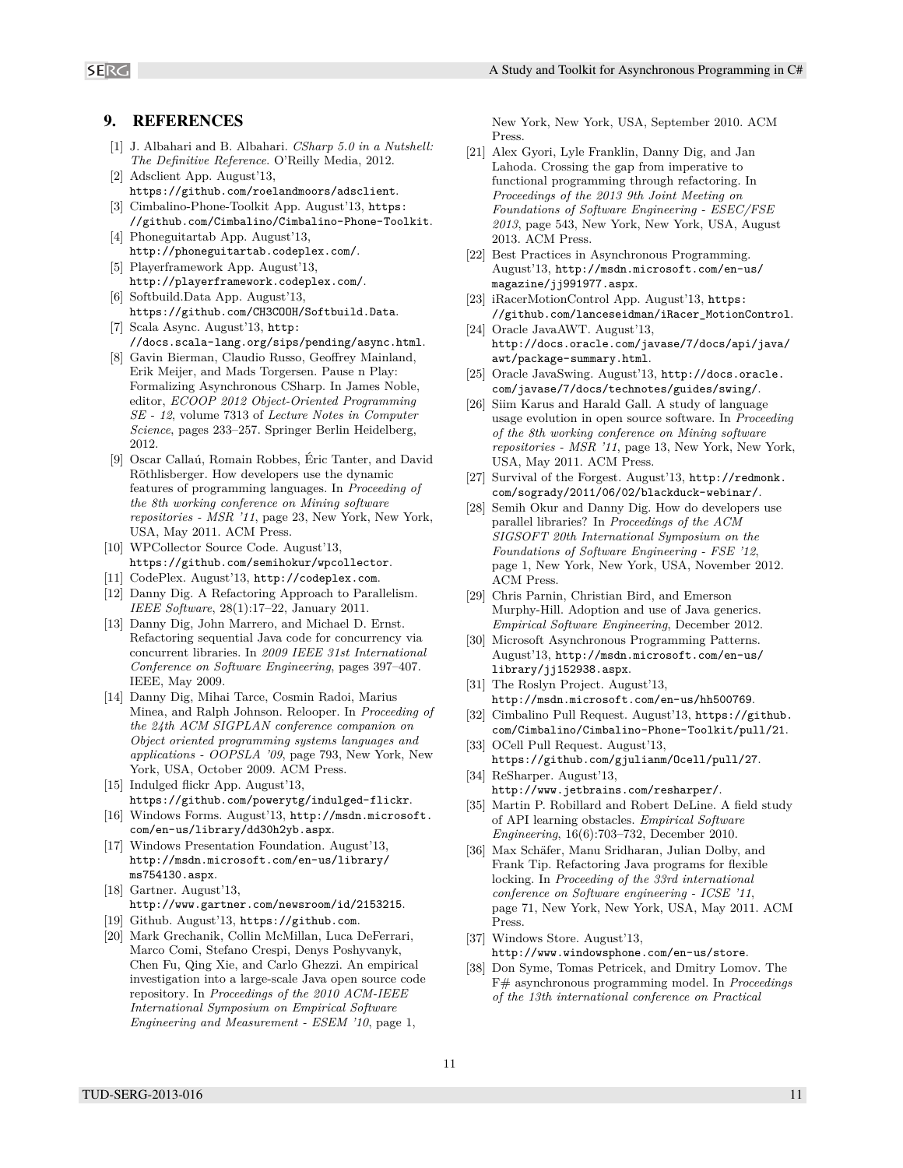# 9. REFERENCES

- [1] J. Albahari and B. Albahari. *CSharp 5.0 in a Nutshell: The Definitive Reference*. O'Reilly Media, 2012.
- [2] Adsclient App. August'13, https://github.com/roelandmoors/adsclient.
- [3] Cimbalino-Phone-Toolkit App. August'13, https: //github.com/Cimbalino/Cimbalino-Phone-Toolkit.
- [4] Phoneguitartab App. August'13, http://phoneguitartab.codeplex.com/.
- [5] Playerframework App. August'13, http://playerframework.codeplex.com/.
- [6] Softbuild.Data App. August'13, https://github.com/CH3COOH/Softbuild.Data.
- [7] Scala Async. August'13, http: //docs.scala-lang.org/sips/pending/async.html.
- [8] Gavin Bierman, Claudio Russo, Geoffrey Mainland, Erik Meijer, and Mads Torgersen. Pause n Play: Formalizing Asynchronous CSharp. In James Noble, editor, *ECOOP 2012 Object-Oriented Programming SE - 12*, volume 7313 of *Lecture Notes in Computer Science*, pages 233–257. Springer Berlin Heidelberg, 2012.
- [9] Oscar Callaú, Romain Robbes, Éric Tanter, and David Röthlisberger. How developers use the dynamic features of programming languages. In *Proceeding of the 8th working conference on Mining software repositories - MSR '11*, page 23, New York, New York, USA, May 2011. ACM Press.
- [10] WPCollector Source Code. August'13, https://github.com/semihokur/wpcollector.
- [11] CodePlex. August'13, http://codeplex.com.
- [12] Danny Dig. A Refactoring Approach to Parallelism. *IEEE Software*, 28(1):17–22, January 2011.
- [13] Danny Dig, John Marrero, and Michael D. Ernst. Refactoring sequential Java code for concurrency via concurrent libraries. In *2009 IEEE 31st International Conference on Software Engineering*, pages 397–407. IEEE, May 2009.
- [14] Danny Dig, Mihai Tarce, Cosmin Radoi, Marius Minea, and Ralph Johnson. Relooper. In *Proceeding of the 24th ACM SIGPLAN conference companion on Object oriented programming systems languages and applications - OOPSLA '09*, page 793, New York, New York, USA, October 2009. ACM Press.
- [15] Indulged flickr App. August'13, https://github.com/powerytg/indulged-flickr.
- [16] Windows Forms. August'13, http://msdn.microsoft. com/en-us/library/dd30h2yb.aspx.
- [17] Windows Presentation Foundation. August'13, http://msdn.microsoft.com/en-us/library/ ms754130.aspx.
- [18] Gartner. August'13, http://www.gartner.com/newsroom/id/2153215.
- [19] Github. August'13, https://github.com.
- [20] Mark Grechanik, Collin McMillan, Luca DeFerrari, Marco Comi, Stefano Crespi, Denys Poshyvanyk, Chen Fu, Qing Xie, and Carlo Ghezzi. An empirical investigation into a large-scale Java open source code repository. In *Proceedings of the 2010 ACM-IEEE International Symposium on Empirical Software Engineering and Measurement - ESEM '10*, page 1,

New York, New York, USA, September 2010. ACM Press.

- [21] Alex Gyori, Lyle Franklin, Danny Dig, and Jan Lahoda. Crossing the gap from imperative to functional programming through refactoring. In *Proceedings of the 2013 9th Joint Meeting on Foundations of Software Engineering - ESEC/FSE 2013*, page 543, New York, New York, USA, August 2013. ACM Press.
- [22] Best Practices in Asynchronous Programming. August'13, http://msdn.microsoft.com/en-us/ magazine/jj991977.aspx.
- [23] iRacerMotionControl App. August'13, https: //github.com/lanceseidman/iRacer\_MotionControl.
- [24] Oracle JavaAWT. August'13, http://docs.oracle.com/javase/7/docs/api/java/ awt/package-summary.html.
- [25] Oracle JavaSwing. August'13, http://docs.oracle. com/javase/7/docs/technotes/guides/swing/.
- [26] Siim Karus and Harald Gall. A study of language usage evolution in open source software. In *Proceeding of the 8th working conference on Mining software repositories - MSR '11*, page 13, New York, New York, USA, May 2011. ACM Press.
- [27] Survival of the Forgest. August'13, http://redmonk. com/sogrady/2011/06/02/blackduck-webinar/.
- [28] Semih Okur and Danny Dig. How do developers use parallel libraries? In *Proceedings of the ACM SIGSOFT 20th International Symposium on the Foundations of Software Engineering - FSE '12*, page 1, New York, New York, USA, November 2012. ACM Press.
- [29] Chris Parnin, Christian Bird, and Emerson Murphy-Hill. Adoption and use of Java generics. *Empirical Software Engineering*, December 2012.
- [30] Microsoft Asynchronous Programming Patterns. August'13, http://msdn.microsoft.com/en-us/ library/jj152938.aspx.
- [31] The Roslyn Project. August'13, http://msdn.microsoft.com/en-us/hh500769.
- [32] Cimbalino Pull Request. August'13, https://github. com/Cimbalino/Cimbalino-Phone-Toolkit/pull/21.
- [33] OCell Pull Request. August'13, https://github.com/gjulianm/Ocell/pull/27.
- [34] ReSharper. August'13, http://www.jetbrains.com/resharper/.
- [35] Martin P. Robillard and Robert DeLine. A field study of API learning obstacles. *Empirical Software Engineering*, 16(6):703–732, December 2010.
- [36] Max Schäfer, Manu Sridharan, Julian Dolby, and Frank Tip. Refactoring Java programs for flexible locking. In *Proceeding of the 33rd international conference on Software engineering - ICSE '11*, page 71, New York, New York, USA, May 2011. ACM Press.
- [37] Windows Store. August'13, http://www.windowsphone.com/en-us/store.
- [38] Don Syme, Tomas Petricek, and Dmitry Lomov. The F# asynchronous programming model. In *Proceedings of the 13th international conference on Practical*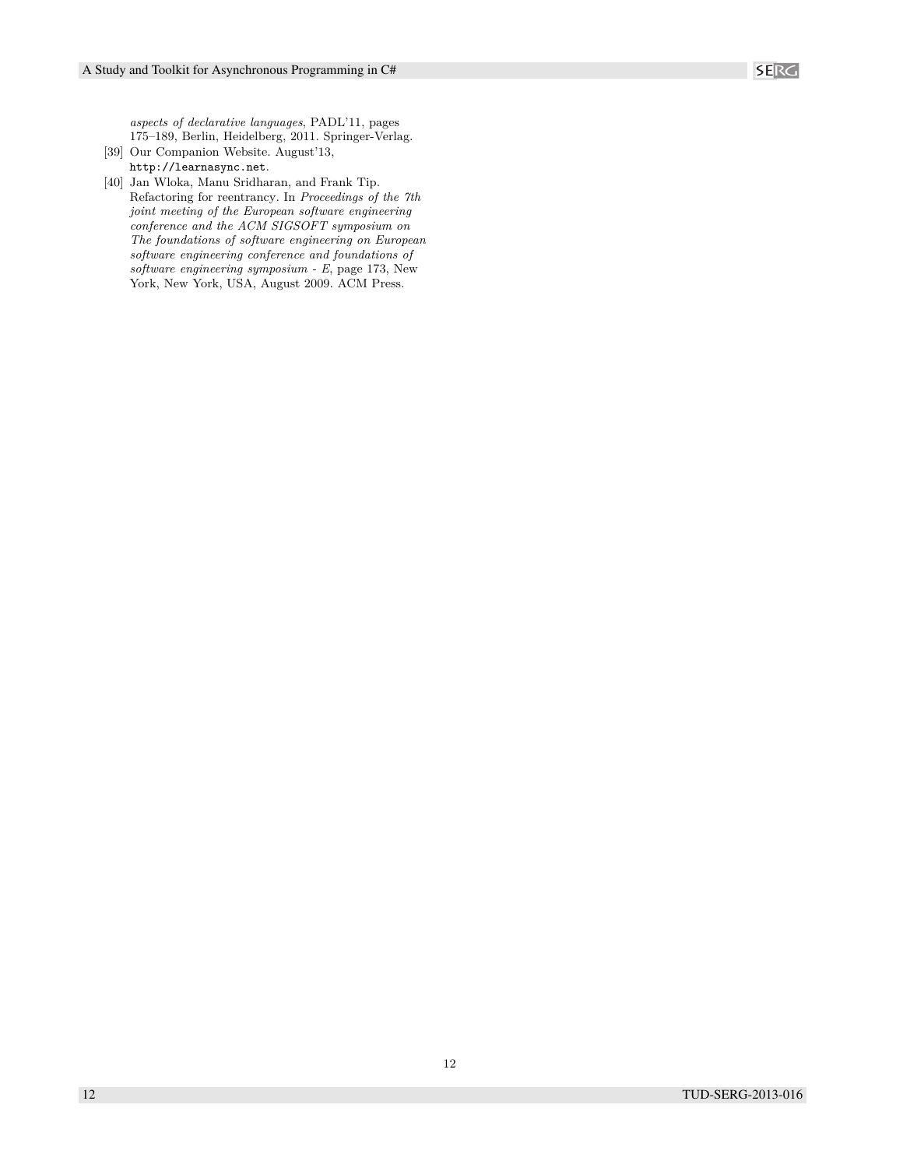*aspects of declarative languages*, PADL'11, pages 175–189, Berlin, Heidelberg, 2011. Springer-Verlag.

[39] Our Companion Website. August'13, http://learnasync.net.

[40] Jan Wloka, Manu Sridharan, and Frank Tip. Refactoring for reentrancy. In *Proceedings of the 7th joint meeting of the European software engineering conference and the ACM SIGSOFT symposium on The foundations of software engineering on European software engineering conference and foundations of software engineering symposium - E*, page 173, New York, New York, USA, August 2009. ACM Press.

12